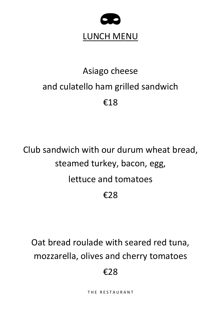

# Asiago cheese and culatello ham grilled sandwich €18

Club sandwich with our durum wheat bread, steamed turkey, bacon, egg, lettuce and tomatoes €28

Oat bread roulade with seared red tuna, mozzarella, olives and cherry tomatoes

#### €28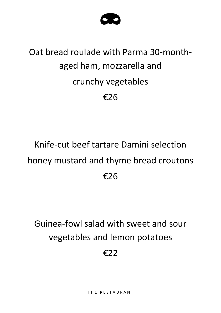

## Oat bread roulade with Parma 30-monthaged ham, mozzarella and crunchy vegetables €26

### Knife-cut beef tartare Damini selection honey mustard and thyme bread croutons €26

#### Guinea-fowl salad with sweet and sour vegetables and lemon potatoes

€22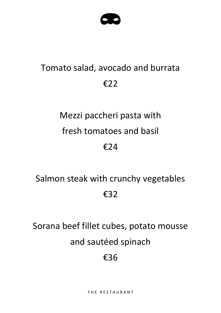#### Tomato salad, avocado and burrata €22

### Mezzi paccheri pasta with fresh tomatoes and basil €24

### Salmon steak with crunchy vegetables €32

# Sorana beef fillet cubes, potato mousse and sautéed spinach

#### €36